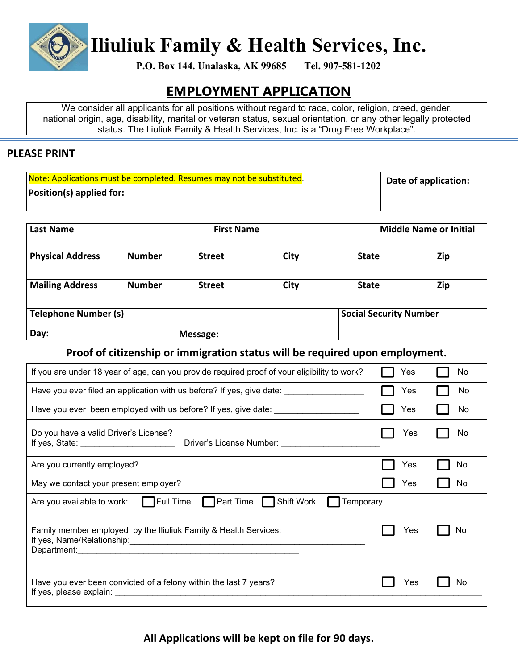

**Iliuliuk Family & Health Services, Inc.**

**P.O. Box 144. Unalaska, AK 99685 Tel. 907-581-1202** 

# **EMPLOYMENT APPLICATION**

We consider all applicants for all positions without regard to race, color, religion, creed, gender, national origin, age, disability, marital or veteran status, sexual orientation, or any other legally protected status. The Iliuliuk Family & Health Services, Inc. is a "Drug Free Workplace".

#### **PLEASE PRINT**

| Note: Applications must be completed. Resumes may not be substituted. | Date of application: |
|-----------------------------------------------------------------------|----------------------|
| $\vert$ Position(s) applied for:                                      |                      |
|                                                                       |                      |

| <b>Last Name</b>            | <b>First Name</b> |               | <b>Middle Name or Initial</b> |                               |     |  |
|-----------------------------|-------------------|---------------|-------------------------------|-------------------------------|-----|--|
| <b>Physical Address</b>     | <b>Number</b>     | <b>Street</b> | City                          | <b>State</b>                  | Zip |  |
| <b>Mailing Address</b>      | <b>Number</b>     | <b>Street</b> | <b>City</b>                   | <b>State</b>                  | Zip |  |
| <b>Telephone Number (s)</b> |                   |               |                               | <b>Social Security Number</b> |     |  |
| Day:                        |                   | Message:      |                               |                               |     |  |

**Proof of citizenship or immigration status will be required upon employment.**

| If you are under 18 year of age, can you provide required proof of your eligibility to work?                                                                                                                                                                            | Yes | No. |
|-------------------------------------------------------------------------------------------------------------------------------------------------------------------------------------------------------------------------------------------------------------------------|-----|-----|
| Have you ever filed an application with us before? If yes, give date: _________________                                                                                                                                                                                 | Yes | No. |
| Have you ever been employed with us before? If yes, give date: _________________                                                                                                                                                                                        | Yes | No. |
| Do you have a valid Driver's License?<br>Driver's License Number: North and the Second Second Second Second Second Second Second Second Second Second Second Second Second Second Second Second Second Second Second Second Second Second Second Second Second Second S | Yes | No  |
| Are you currently employed?                                                                                                                                                                                                                                             | Yes | No  |
| May we contact your present employer?                                                                                                                                                                                                                                   | Yes | No  |
| $\Box$ Full Time<br><b>Part Time</b><br>Shift Work<br>Are you available to work:<br>Temporary                                                                                                                                                                           |     |     |
| Family member employed by the Iliuliuk Family & Health Services:<br>Department:                                                                                                                                                                                         | Yes | No  |
| Have you ever been convicted of a felony within the last 7 years?<br>If yes, please explain:                                                                                                                                                                            | Yes | No  |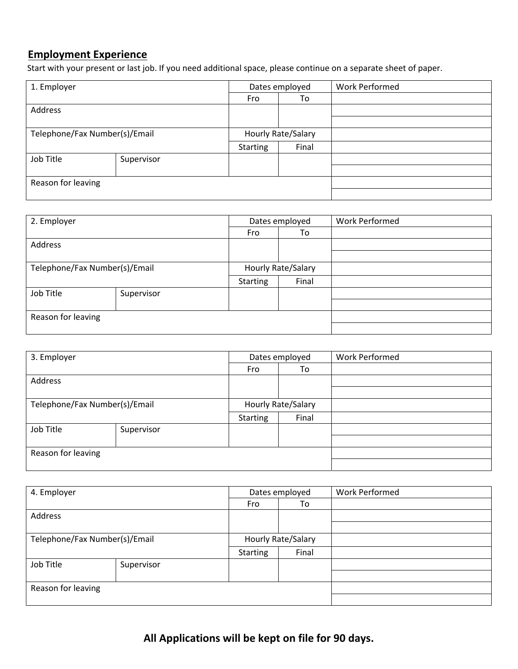#### **Employment Experience**

Start with your present or last job. If you need additional space, please continue on a separate sheet of paper.

| 1. Employer                   |            |                 | Dates employed     | <b>Work Performed</b> |
|-------------------------------|------------|-----------------|--------------------|-----------------------|
|                               |            | Fro             | To                 |                       |
| Address                       |            |                 |                    |                       |
|                               |            |                 |                    |                       |
| Telephone/Fax Number(s)/Email |            |                 | Hourly Rate/Salary |                       |
|                               |            | <b>Starting</b> | Final              |                       |
| Job Title                     | Supervisor |                 |                    |                       |
|                               |            |                 |                    |                       |
| Reason for leaving            |            |                 |                    |                       |
|                               |            |                 |                    |                       |

| 2. Employer                   |            | Dates employed     |       | <b>Work Performed</b> |
|-------------------------------|------------|--------------------|-------|-----------------------|
|                               |            | Fro                | To    |                       |
| Address                       |            |                    |       |                       |
|                               |            |                    |       |                       |
| Telephone/Fax Number(s)/Email |            | Hourly Rate/Salary |       |                       |
|                               |            | <b>Starting</b>    | Final |                       |
| Job Title                     | Supervisor |                    |       |                       |
|                               |            |                    |       |                       |
| Reason for leaving            |            |                    |       |                       |
|                               |            |                    |       |                       |

| 3. Employer                   |            | Dates employed     |       | <b>Work Performed</b> |
|-------------------------------|------------|--------------------|-------|-----------------------|
|                               |            | Fro                | To    |                       |
| Address                       |            |                    |       |                       |
|                               |            |                    |       |                       |
| Telephone/Fax Number(s)/Email |            | Hourly Rate/Salary |       |                       |
|                               |            | Starting           | Final |                       |
| Job Title                     | Supervisor |                    |       |                       |
|                               |            |                    |       |                       |
| Reason for leaving            |            |                    |       |                       |
|                               |            |                    |       |                       |

| 4. Employer                   |            | Dates employed     |       | <b>Work Performed</b> |
|-------------------------------|------------|--------------------|-------|-----------------------|
|                               |            | Fro                | To    |                       |
| Address                       |            |                    |       |                       |
|                               |            |                    |       |                       |
| Telephone/Fax Number(s)/Email |            | Hourly Rate/Salary |       |                       |
|                               |            | <b>Starting</b>    | Final |                       |
| Job Title                     | Supervisor |                    |       |                       |
|                               |            |                    |       |                       |
| Reason for leaving            |            |                    |       |                       |
|                               |            |                    |       |                       |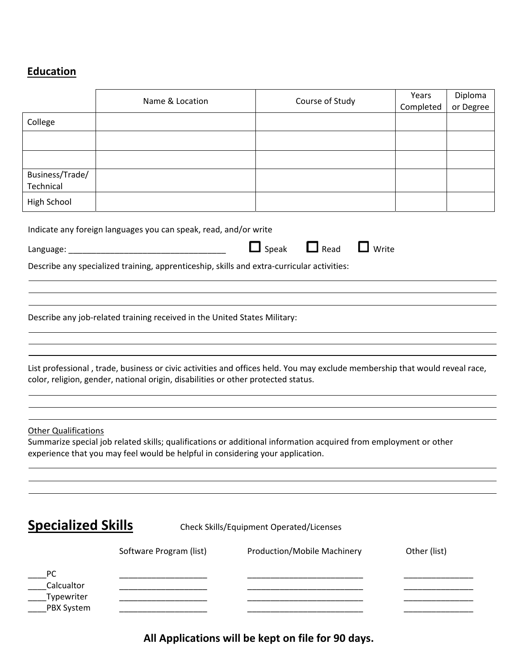# **Education**

|                             | Name & Location                                                                            | Course of Study                                                                                                             | Years<br>Completed | Diploma<br>or Degree |
|-----------------------------|--------------------------------------------------------------------------------------------|-----------------------------------------------------------------------------------------------------------------------------|--------------------|----------------------|
| College                     |                                                                                            |                                                                                                                             |                    |                      |
|                             |                                                                                            |                                                                                                                             |                    |                      |
|                             |                                                                                            |                                                                                                                             |                    |                      |
| Business/Trade/             |                                                                                            |                                                                                                                             |                    |                      |
| Technical<br>High School    |                                                                                            |                                                                                                                             |                    |                      |
|                             |                                                                                            |                                                                                                                             |                    |                      |
|                             | Indicate any foreign languages you can speak, read, and/or write                           |                                                                                                                             |                    |                      |
|                             |                                                                                            | $\Box$ Speak $\Box$ Read<br>$\Box$ Write                                                                                    |                    |                      |
|                             | Describe any specialized training, apprenticeship, skills and extra-curricular activities: |                                                                                                                             |                    |                      |
|                             |                                                                                            |                                                                                                                             |                    |                      |
|                             |                                                                                            |                                                                                                                             |                    |                      |
|                             | Describe any job-related training received in the United States Military:                  |                                                                                                                             |                    |                      |
|                             |                                                                                            |                                                                                                                             |                    |                      |
|                             |                                                                                            |                                                                                                                             |                    |                      |
|                             | color, religion, gender, national origin, disabilities or other protected status.          | List professional, trade, business or civic activities and offices held. You may exclude membership that would reveal race, |                    |                      |
|                             |                                                                                            |                                                                                                                             |                    |                      |
|                             |                                                                                            |                                                                                                                             |                    |                      |
| <b>Other Qualifications</b> |                                                                                            |                                                                                                                             |                    |                      |
|                             | experience that you may feel would be helpful in considering your application.             | Summarize special job related skills; qualifications or additional information acquired from employment or other            |                    |                      |
|                             |                                                                                            |                                                                                                                             |                    |                      |
|                             |                                                                                            |                                                                                                                             |                    |                      |
|                             |                                                                                            |                                                                                                                             |                    |                      |
| <b>Specialized Skills</b>   |                                                                                            | <b>Check Skills/Equipment Operated/Licenses</b>                                                                             |                    |                      |
|                             |                                                                                            |                                                                                                                             |                    |                      |
|                             | Software Program (list)                                                                    | Production/Mobile Machinery                                                                                                 | Other (list)       |                      |
| PC                          |                                                                                            |                                                                                                                             |                    |                      |
| Calcualtor<br>Typewriter    |                                                                                            |                                                                                                                             |                    |                      |
| PBX System                  |                                                                                            |                                                                                                                             |                    |                      |